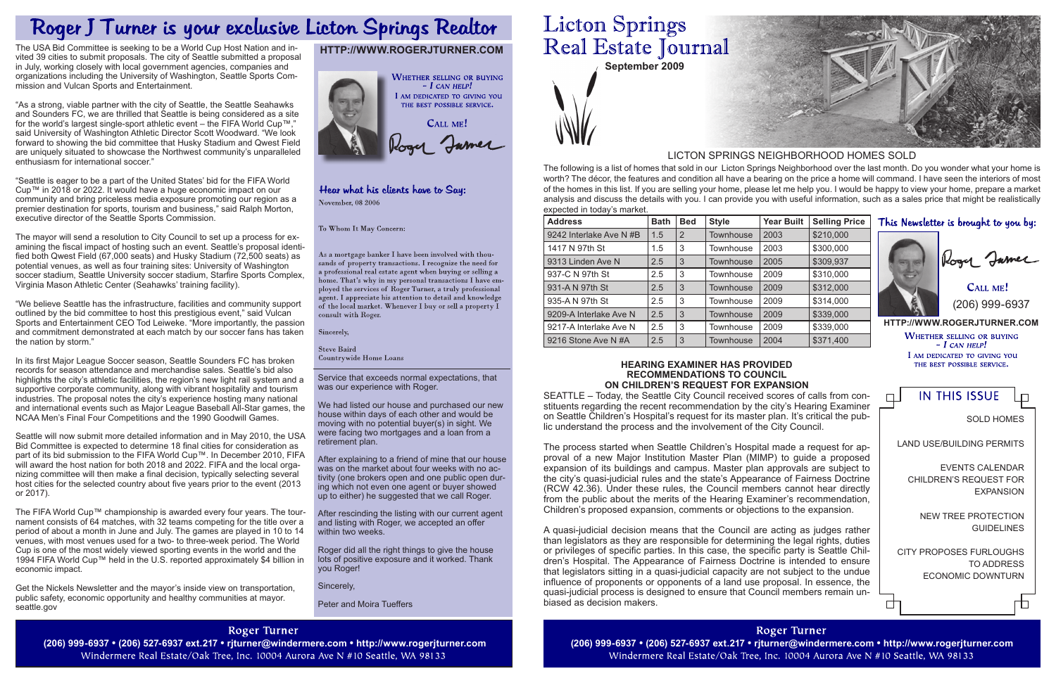**September 2009**

Service that exceeds normal expectations, that was our experience with Roger.

We had listed our house and purchased our new house within days of each other and would be moving with no potential buyer(s) in sight. We were facing two mortgages and a loan from a retirement plan.

After explaining to a friend of mine that our house was on the market about four weeks with no activity (one brokers open and one public open during which not even one agent or buyer showed up to either) he suggested that we call Roger.

After rescinding the listing with our current agent and listing with Roger, we accepted an offer within two weeks.

**http://www.rogerjturner.com WHETHER SELLING OR BUYING**  $- I$  CAN HELP! I AM DEDICATED TO GIVING YOU THE BEST POSSIBLE SERVICE.

**IN THIS ISSUE**  $\Box$ 

Roger did all the right things to give the house lots of positive exposure and it worked. Thank you Roger!

Sincerely,

Peter and Moira Tueffers

# **Roger Turner**

Windermere Real Estate/Oak Tree, Inc. 10004 Aurora Ave N #10 Seattle, WA 98133

# **Licton Springs** Real Estate Journal

CALL ME! (206) 999-6937

The following is a list of homes that sold in our Licton Springs Neighborhood over the last month. Do you wonder what your home is worth? The décor, the features and condition all have a bearing on the price a home will command. I have seen the interiors of most of the homes in this list. If you are selling your home, please let me help you. I would be happy to view your home, prepare a market analysis and discuss the details with you. I can provide you with useful information, such as a sales price that might be realistically expected in today's market.

> Events Calendar Children's request for **EXPANSION**

new tree protection **GUIDELINES** 

## LICTON SPRINGS NEIGHBORHOOD HOMES SOLD

# This Newsletter is brought to you by:



# **http://www.rogerjturner.com**



## Hear what his clients have to Say: November, 08 2006

To Whom It May Concern:

As a mortgage banker I have been involved with thousands of property transactions. I recognize the need for a professional real estate agent when buying or selling a home. That's why in my personal transactions I have employed the services of Roger Turner, a truly professional agent. I appreciate his attention to detail and knowledge of the local market. Whenever I buy or sell a property  $\check{\rm I}$ consult with Roger.

Sincerely,

**Steve Baird Countrywide Home Loans** 

| <b>Address</b>          | <b>Bath</b> | <b>Bed</b> | <b>Style</b>     | <b>Year Built</b> | <b>Selling Price</b> |
|-------------------------|-------------|------------|------------------|-------------------|----------------------|
| 9242 Interlake Ave N #B | 1.5         | 2          | <b>Townhouse</b> | 2003              | \$210,000            |
| 1417 N 97th St          | 1.5         | 3          | <b>Townhouse</b> | 2003              | \$300,000            |
| 9313 Linden Ave N       | 2.5         | 3          | Townhouse        | 2005              | \$309,937            |
| 937-C N 97th St         | 2.5         | 3          | <b>Townhouse</b> | 2009              | \$310,000            |
| 931-A N 97th St         | 2.5         | 3          | <b>Townhouse</b> | 2009              | \$312,000            |
| 935-A N 97th St         | 2.5         | 3          | Townhouse        | 2009              | \$314,000            |
| 9209-A Interlake Ave N  | 2.5         | 3          | <b>Townhouse</b> | 2009              | \$339,000            |
| 9217-A Interlake Ave N  | 2.5         | 3          | Townhouse        | 2009              | \$339,000            |
| 9216 Stone Ave N#A      | 2.5         | 3          | <b>Townhouse</b> | 2004              | \$371,400            |

Sold Homes

Ѣ

Land Use/Building Permits

City proposes furloughs to address economic downturn

庄

### **Hearing Examiner has provided recommendations to Council on Children's request for expansion**

SEATTLE – Today, the Seattle City Council received scores of calls from constituents regarding the recent recommendation by the city's Hearing Examiner on Seattle Children's Hospital's request for its master plan. It's critical the public understand the process and the involvement of the City Council.

The process started when Seattle Children's Hospital made a request for approval of a new Major Institution Master Plan (MIMP) to guide a proposed expansion of its buildings and campus. Master plan approvals are subject to the city's quasi-judicial rules and the state's Appearance of Fairness Doctrine (RCW 42.36). Under these rules, the Council members cannot hear directly from the public about the merits of the Hearing Examiner's recommendation, Children's proposed expansion, comments or objections to the expansion.

A quasi-judicial decision means that the Council are acting as judges rather than legislators as they are responsible for determining the legal rights, duties or privileges of specific parties. In this case, the specific party is Seattle Children's Hospital. The Appearance of Fairness Doctrine is intended to ensure that legislators sitting in a quasi-judicial capacity are not subject to the undue influence of proponents or opponents of a land use proposal. In essence, the quasi-judicial process is designed to ensure that Council members remain unbiased as decision makers.

**Roger Turner** (206) 999-6937 • (206) 527-6937 ext.217 • rjturner@windermere.com • http://www.rogerjturner.com (206) 999-6937 • (206) 527-6937 ext.217 • rjturner@windermere.com • http://www.rogerjturner.com Windermere Real Estate/Oak Tree, Inc. 10004 Aurora Ave N #10 Seattle, WA 98133



# Roger J Turner is your exclusive Licton Springs Realtor

The USA Bid Committee is seeking to be a World Cup Host Nation and invited 39 cities to submit proposals. The city of Seattle submitted a proposal in July, working closely with local government agencies, companies and organizations including the University of Washington, Seattle Sports Commission and Vulcan Sports and Entertainment.

"As a strong, viable partner with the city of Seattle, the Seattle Seahawks and Sounders FC, we are thrilled that Seattle is being considered as a site for the world's largest single-sport athletic event – the FIFA World Cup™," said University of Washington Athletic Director Scott Woodward. "We look forward to showing the bid committee that Husky Stadium and Qwest Field are uniquely situated to showcase the Northwest community's unparalleled enthusiasm for international soccer."

"Seattle is eager to be a part of the United States' bid for the FIFA World Cup™ in 2018 or 2022. It would have a huge economic impact on our community and bring priceless media exposure promoting our region as a premier destination for sports, tourism and business," said Ralph Morton, executive director of the Seattle Sports Commission.

The mayor will send a resolution to City Council to set up a process for examining the fiscal impact of hosting such an event. Seattle's proposal identified both Qwest Field (67,000 seats) and Husky Stadium (72,500 seats) as potential venues, as well as four training sites: University of Washington soccer stadium, Seattle University soccer stadium, Starfire Sports Complex, Virginia Mason Athletic Center (Seahawks' training facility).

"We believe Seattle has the infrastructure, facilities and community support outlined by the bid committee to host this prestigious event," said Vulcan Sports and Entertainment CEO Tod Leiweke. "More importantly, the passion and commitment demonstrated at each match by our soccer fans has taken the nation by storm."

In its first Major League Soccer season, Seattle Sounders FC has broken records for season attendance and merchandise sales. Seattle's bid also highlights the city's athletic facilities, the region's new light rail system and a supportive corporate community, along with vibrant hospitality and tourism industries. The proposal notes the city's experience hosting many national and international events such as Major League Baseball All-Star games, the NCAA Men's Final Four Competitions and the 1990 Goodwill Games.

Seattle will now submit more detailed information and in May 2010, the USA Bid Committee is expected to determine 18 final cities for consideration as part of its bid submission to the FIFA World Cup™. In December 2010, FIFA will award the host nation for both 2018 and 2022. FIFA and the local organizing committee will then make a final decision, typically selecting several host cities for the selected country about five years prior to the event (2013 or 2017).

The FIFA World Cup™ championship is awarded every four years. The tournament consists of 64 matches, with 32 teams competing for the title over a period of about a month in June and July. The games are played in 10 to 14 venues, with most venues used for a two- to three-week period. The World Cup is one of the most widely viewed sporting events in the world and the 1994 FIFA World Cup™ held in the U.S. reported approximately \$4 billion in economic impact.

Get the Nickels Newsletter and the mayor's inside view on transportation, public safety, economic opportunity and healthy communities at mayor. seattle.gov